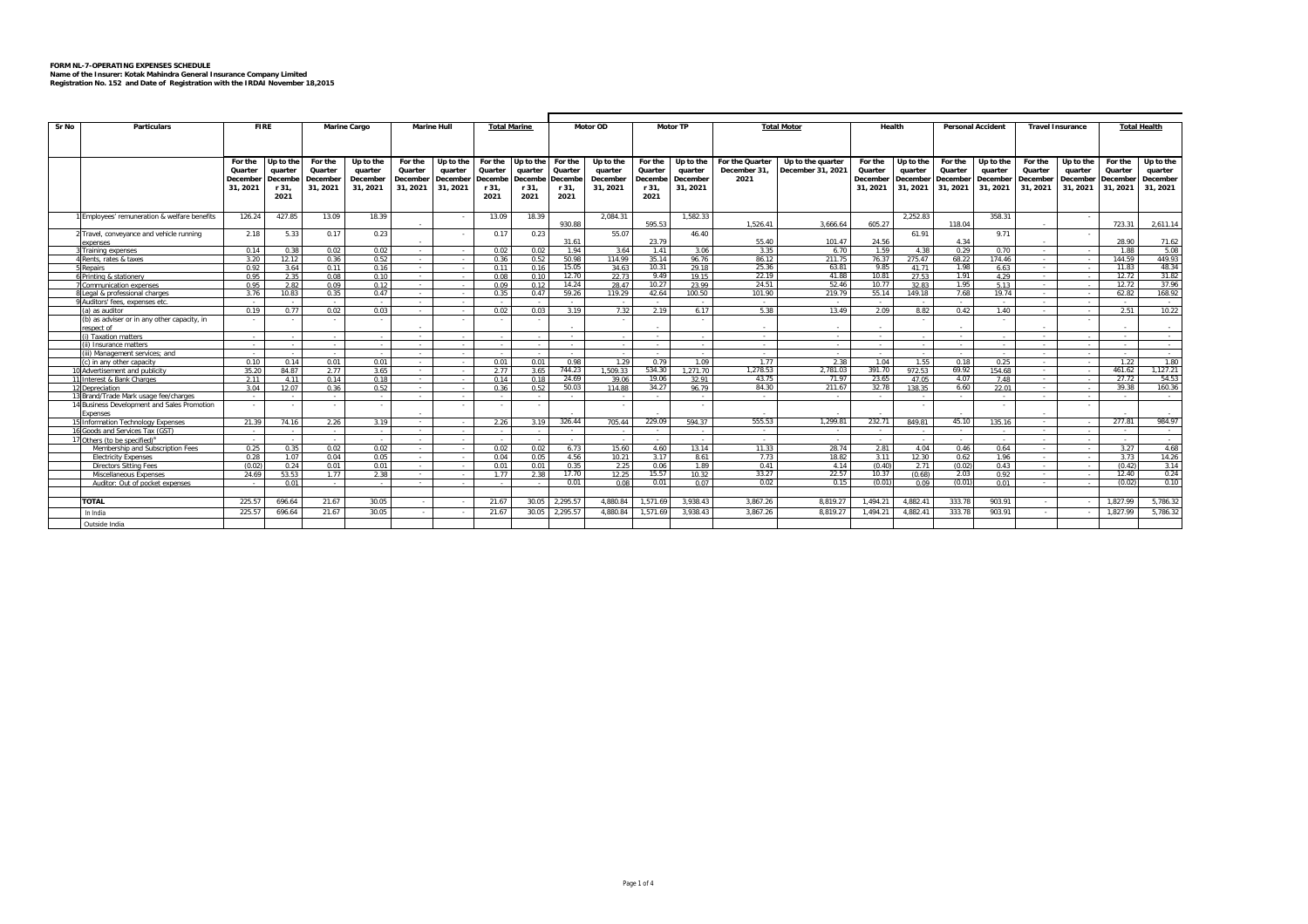## **FORM NL-7-OPERATING EXPENSES SCHEDULE Name of the Insurer: Kotak Mahindra General Insurance Company Limited Registration No. 152 and Date of Registration with the IRDAI November 18,2015**

|       |                                               |                                    |               |              |                    |             |            |                     |              | Motor TP       |                 |                 |                |                    |                   |                |                 |                          |                |                         |             |                     |                 |
|-------|-----------------------------------------------|------------------------------------|---------------|--------------|--------------------|-------------|------------|---------------------|--------------|----------------|-----------------|-----------------|----------------|--------------------|-------------------|----------------|-----------------|--------------------------|----------------|-------------------------|-------------|---------------------|-----------------|
| Sr No | <b>Particulars</b>                            | <b>FIRE</b><br><b>Marine Cargo</b> |               |              | <b>Marine Hull</b> |             |            | <b>Total Marine</b> |              | Motor OD       |                 |                 |                | <b>Total Motor</b> | Health            |                |                 | <b>Personal Accident</b> |                | <b>Travel Insurance</b> |             | <b>Total Health</b> |                 |
|       |                                               |                                    |               |              |                    |             |            |                     |              |                |                 |                 |                |                    |                   |                |                 |                          |                |                         |             |                     |                 |
|       |                                               |                                    |               |              |                    |             |            |                     |              |                |                 |                 |                |                    |                   |                |                 |                          |                |                         |             |                     |                 |
|       |                                               | Up to the<br>For the               |               | For the      | Up to the          | For the     | Up to the  | For the             | Up to the    | For the        | Up to the       | For the         | Up to the      | For the Quarter    | Up to the quarter | For the        | Up to the       | For the                  | Up to the      | For the                 | Up to the   | For the             | Up to the       |
|       |                                               | Quarter                            | quarter       | Quarter      | quarter            | Quarter     | quarter    | Quarter             | quarter      | Quarter        | quarter         | Quarter         | quarter        | December 31,       | December 31, 2021 | Quarter        | quarter         | Quarter                  | quarter        | Quarter                 | quarter     | Quarter             | quarter         |
|       |                                               | December                           | Decembe       | December     | December           | December    | December   | Decembe             | Decembe      | Decembe        | December        | Decembe         | December       | 2021               |                   | December       | December        | December                 | December       | December                | December    | December            | December        |
|       |                                               | 31.2021                            | r 31.         | 31, 2021     | 31, 2021           | 31, 2021    | 31.2021    | r 31,               | r 31,        | r 31,          | 31.2021         | r 31.           | 31, 2021       |                    |                   | 31, 2021       | 31, 2021        | 31, 2021                 | 31, 2021       | 31, 2021                | 31, 2021    | 31, 2021            | 31, 2021        |
|       |                                               |                                    | 2021          |              |                    |             |            | 2021                | 2021         | 2021           |                 | 2021            |                |                    |                   |                |                 |                          |                |                         |             |                     |                 |
|       |                                               |                                    |               |              |                    |             |            |                     |              |                |                 |                 |                |                    |                   |                |                 |                          |                |                         |             |                     |                 |
|       | Employees' remuneration & welfare benefits    | 126.24                             | 427.85        | 13.09        | 18.39              |             | $\sim$     | 13.09               | 18.39        |                | 2.084.31        |                 | 1,582.33       |                    |                   |                | 2.252.83        |                          | 358.31         |                         | - 11        |                     |                 |
|       |                                               |                                    |               |              |                    |             |            |                     |              | 930.88         |                 | 595.53          |                | 1,526.41           | 3,666.6           | 605.27         |                 | 118.04                   |                |                         |             | 723.31              | 2,611.14        |
|       | 2 Travel, conveyance and vehicle running      | 2.18                               | 5.33          | 0.17         | 0.23               |             |            | 0.17                | 0.23         |                | 55.07           |                 | 46.40          |                    |                   |                | 61.91           |                          | 9.71           |                         |             |                     |                 |
|       | xnenses                                       |                                    |               |              |                    |             |            |                     |              | 31.61          |                 | 23.79           |                | 55.40              | 101.47            | 24.56          |                 | 4.34                     |                |                         |             | 28.90               | 71.62           |
|       | Training expenses                             | 0.14                               | 0.38          | 0.02         | 0.02               | . .         | . п.       | 0.02                | 0.02         | 1.94<br>50.98  | 3.64            | 1.41<br>35.14   | 3.06           | 3.35<br>86.12      | 6.70              | 1.59<br>76.37  | 4.38            | 0.29<br>68.22            | 0.70           | $\sim$                  | . .         | 1.88                | 5.08<br>449.93  |
|       | Rents, rates & taxes<br>enairs                | 3.20<br>0.92                       | 12.12<br>3.64 | 0.36<br>0.11 | 0.52<br>0.16       | - 11<br>. . | $\sim$     | 0.36<br>0.11        | 0.52<br>0.16 | 15.05          | 114.99<br>34.63 | 10.31           | 96.76<br>29.18 | 25.36              | 211.75<br>63.81   | 9.85           | 275.47<br>41.71 | 1.98                     | 174.46<br>6.63 | $\sim$<br>$\sim$        | <b>1999</b> | 144.59<br>11.83     | 48.34           |
|       | 6 Printing & stationery                       | 0.95                               | 2.35          | 0.08         | 0.10               | . .         | . .        | 0.08                | 0.10         | 12.70          | 22.73           | 9.49            | 19.15          | 22.19              | 41.88             | 10.81          | 27.53           | 1.91                     | 4.29           |                         | - 1<br>- 11 | 12.72               | 31.82           |
|       | Communication expenses                        | 0.95                               | 2.82          | 0.09         | 0.12               | $\sim$      | - 11       | 0.09                | 0.12         | 14.24          | 28.47           | 10.27           | 23.99          | 24.51              | 52.46             | 10.77          | 32.83           | 1.95                     | 5.13           | $\sim$                  | . .         | 12.72               | 37.96           |
|       | egal & professional charges                   | 3.76                               | 10.83         | 0.35         | 0.47               | $\sim$      | - 11       | 0.35                | 0.47         | 59.26          | 119.29          | 42.64           | 100.50         | 101.90             | 219.79            | 55.14          | 149.18          | 7.68                     | 19.74          |                         | - 11        | 62.82               | 168.92          |
|       | 9 Auditors' fees, expenses etc.               |                                    |               |              |                    | . .         | - 1        |                     |              | $\sim$         |                 | $\sim$          | $\sim$         | $\sim$             | $\sim$            |                |                 | . .                      |                | $\sim$                  | ×.          |                     | $\sim$          |
|       | (a) as auditor                                | 0.19                               | 0.77          | 0.02         | 0.03               |             | - 11       | 0.02                | 0.03         | 3.19           | 7.32            | 2.19            | 6.17           | 5.38               | 13.49             | 2.09           | 8.82            | 0.42                     | 1.40           | $\sim$                  | - 1         | 2.51                | 10.22           |
|       | (b) as adviser or in any other capacity, in   |                                    |               |              |                    |             | $\sim$     |                     |              |                |                 |                 |                |                    |                   |                |                 |                          |                |                         |             |                     |                 |
|       | espect of                                     |                                    |               |              |                    |             |            |                     |              |                |                 |                 |                |                    |                   |                |                 |                          |                |                         |             |                     |                 |
|       | Taxation matters                              |                                    |               |              |                    |             |            |                     |              |                |                 | $\sim$          |                | <b>Service</b>     |                   |                |                 | $\sim$                   |                |                         | $\sim$      |                     | $\sim$          |
|       | i) Insurance matters                          |                                    | . .           |              |                    |             | - 11       |                     | $\sim$       |                |                 | . .             |                | $\sim$             | . .               | ٠.             |                 | $\sim$                   |                |                         | $\sim$      |                     | $\sim$          |
|       | iii) Management services: and                 |                                    |               |              |                    |             | $\sim$     |                     | $\sim$       |                |                 | $\sim$          |                | <b>Service</b>     | $\sim$            |                |                 | $\sim$                   |                |                         | $\sim$      |                     | $\sim$          |
|       | (c) in any other canacity                     | 0.10                               | 0.14          | 0.01         | 0.01               |             | $\sim$     | 0.01                | 0.01         | 0.98           | 1.29            | 0.79            | 1.09           | 1.77               | 2.38              | 1.04           | 1.55            | 0.18                     | 0.25           | . .                     | - 1         | 1.22                | 1.80            |
|       | 10 Advertisement and publicity                | 35.20                              | 84.87         | 2.77         | 3.65               |             | - 11       | 2.77                | 3.65         | 744.23         | 1.509.33        | 534.30<br>19.06 | 1.271.70       | 1.278.53<br>43.75  | 2.781.03<br>71.97 | 391.70         | 972.53          | 69.92                    | 154.68         | . .                     | . .         | 461.62<br>27.72     | 1.127.21        |
|       | 11 Interest & Bank Charges<br>12 Depreciation | 2.11<br>3.04                       | 4.11<br>12.07 | 0.14<br>0.36 | 0.18<br>0.52       | . .         | <b>110</b> | 0.14<br>0.36        | 0.18<br>0.52 | 24.69<br>50.03 | 39.06<br>114.88 | 34.27           | 32.91<br>96.79 | 84.30              | 211.67            | 23.65<br>32.78 | 47.05<br>138.35 | 4.07<br>6.60             | 7.48<br>22.01  | $\sim$                  | - 11        | 39.38               | 54.53<br>160.36 |
|       | 13 Brand/Trade Mark usage fee/charges         |                                    |               |              |                    |             | ٠.         |                     |              |                |                 | $\sim$          |                | $\sim$             |                   |                |                 | $\sim$                   |                |                         | $\sim$      |                     | $\sim$          |
|       | 14 Business Development and Sales Promotion   |                                    |               |              |                    |             | $\sim$     | $\sim$              | $\sim$       |                |                 |                 |                |                    |                   |                |                 |                          |                |                         |             |                     |                 |
|       | xnenses                                       |                                    |               |              |                    |             |            |                     |              |                |                 |                 |                |                    |                   |                |                 |                          |                |                         |             |                     |                 |
|       | 15 Information Technology Expenses            | 21.39                              | 74.16         | 2.26         | 3.19               |             |            | 2.26                | 3.19         | 326.44         | 705.44          | 229.09          | 594.37         | 555.53             | 1.299.8           | 232.71         | 849.81          | 45.10                    | 135.16         |                         |             | 277.81              | 984.97          |
|       | 16 Goods and Services Tax (GST)               |                                    | . .           | $\sim$       |                    |             | - 11       |                     | $\sim$       | . .            |                 | $\sim$          | $\sim$         | <b>College</b>     | . .               | . .            |                 | $\sim$                   |                | $\sim$                  | <b>1999</b> |                     | $\sim$          |
|       | thers (to be specified) <sup>a</sup>          |                                    |               |              |                    |             | $\sim$     |                     | $\sim$       |                |                 | . .             |                | <b>A</b>           |                   |                |                 | $\sim$                   |                |                         | $\sim$      |                     | $\sim$          |
|       | Membership and Subscription Fees              | 0.25                               | 0.35          | 0.02         | 0.02               |             | <b>110</b> | 0.02                | 0.02         | 6.73           | 15.60           | 4.60            | 13.14          | 11.33              | 28.74             | 2.81           | 4.04            | 0.46                     | 0.64           |                         | . .         | 3.27                | 4.68            |
|       | <b>Electricity Expenses</b>                   | 0.28                               | 1.07          | 0.04         | 0.05               | $\sim$      | $\sim$     | 0.04                | 0.05         | 4.56           | 10.21           | 3.17            | 8.61           | 7.73               | 18.82             | 3.11           | 12.30           | 0.62                     | 1.96           | $\sim$                  | $\sim$      | 3.73                | 14.26           |
|       | Directors Sitting Fees                        | (0.02)                             | 0.24          | 0.01         | 0.01               |             |            | 0.01                | 0.01         | 0.35           | 2.25            | 0.06            | 1.89           | 0.41               | 4.14              | (0.40)         | 2.71            | (0.02)                   | 0.43           |                         |             | (0.42)              | 3.14            |
|       | Miscellaneous Expenses                        | 24.69                              | 53.53         | 1.77         | 2.38               | ٠.          | - 1        | 1 7 7               | 2.38         | 17.70          | 12.25           | 15.57           | 10.32          | 33.27              | 22.57             | 10.37          | (0.68)          | 2.03                     | 0.92           | $\sim$                  | ÷.          | 12.40               | 0.24            |
|       | Auditor: Out of pocket expenses               |                                    | 0.01          |              |                    | $\sim$      | - 1        |                     |              | 0.01           | 0.08            | 0.01            | 0.07           | 0.02               | 0.15              | (0.01)         | 0.09            | (0.01)                   | 0.01           | $\sim$                  |             | (0.02)              | 0.10            |
|       |                                               |                                    |               |              |                    |             |            |                     |              |                |                 |                 |                |                    |                   |                |                 |                          |                |                         |             |                     |                 |
|       | <b>TOTAL</b>                                  | 225.57                             | 696.64        | 21.67        | 30.05              |             |            | 21.67               | 30.05        | 2.295.57       | 4.880.84        | 1.571.69        | 3.938.43       | 3.867.26           | 8.819.27          | 1.494.2        | 4.882.41        | 333.78                   | 903.91         |                         |             | 1.827.99            | 5,786.32        |
|       | In India                                      | 225.57                             | 696.64        | 21.67        | 30.05              | $\sim$      | . .        | 21.67               | 30.05        | 2.295.57       | 4.880.84        | 1.571.69        | 3.938.43       | 3.867.26           | 8.819.27          | 1.494.21       | 4.882.41        | 333.78                   | 903.91         | $\sim$                  | - 1         | 1.827.99            | 5,786.32        |
|       | Outside India                                 |                                    |               |              |                    |             |            |                     |              |                |                 |                 |                |                    |                   |                |                 |                          |                |                         |             |                     |                 |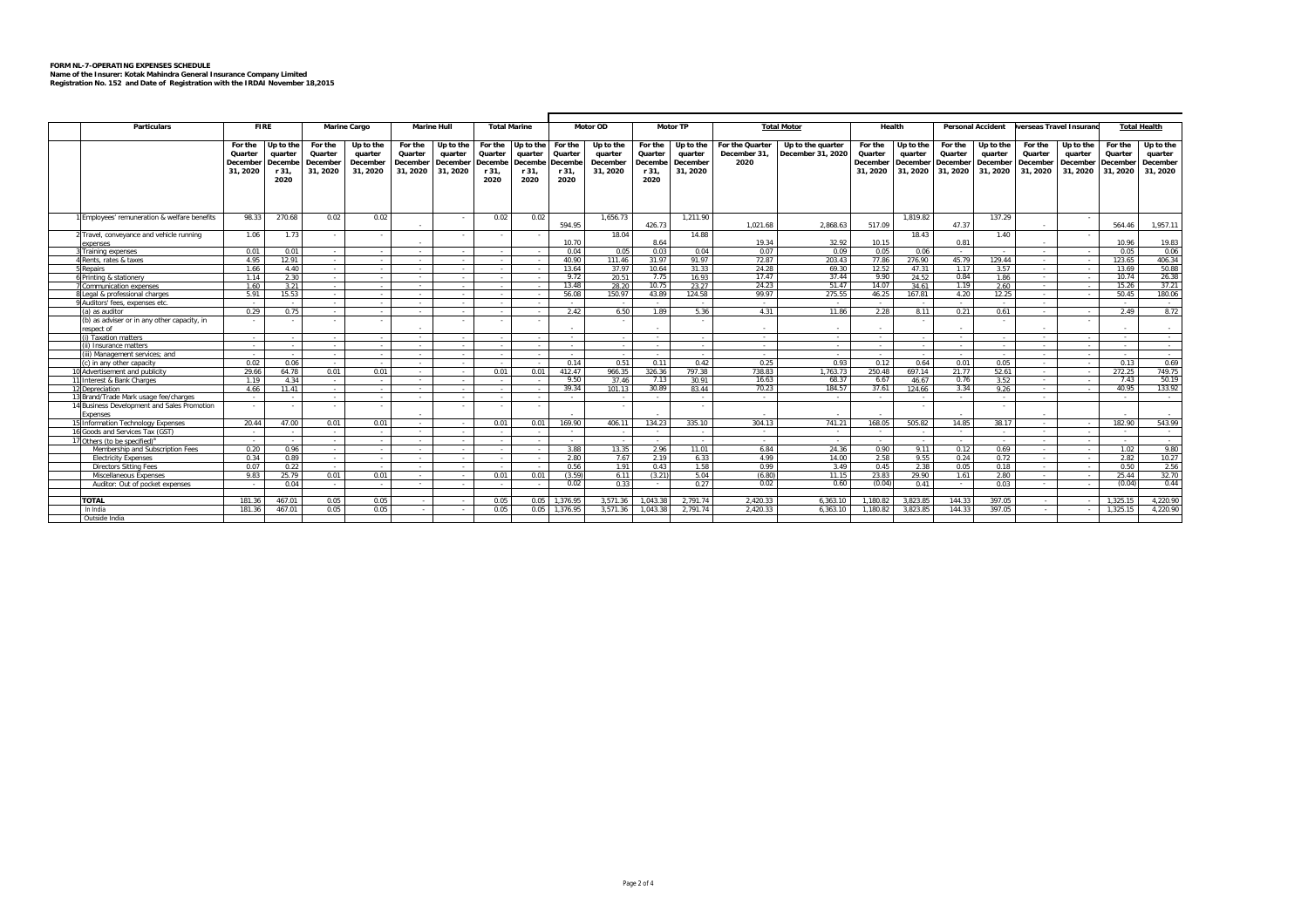## **FORM NL-7-OPERATING EXPENSES SCHEDULE Name of the Insurer: Kotak Mahindra General Insurance Company Limited Registration No. 152 and Date of Registration with the IRDAI November 18,2015**

|                                             | <b>Total Marine</b> |           |          |                     |                          |                    |         |                   |          |           |          |                 |                 |                    |              |           |             |                          |          |                         |          |                     |
|---------------------------------------------|---------------------|-----------|----------|---------------------|--------------------------|--------------------|---------|-------------------|----------|-----------|----------|-----------------|-----------------|--------------------|--------------|-----------|-------------|--------------------------|----------|-------------------------|----------|---------------------|
| Particulars                                 | <b>FIRE</b>         |           |          | <b>Marine Cargo</b> |                          | <b>Marine Hull</b> |         |                   |          | Motor OD  |          | <b>Motor TP</b> |                 | <b>Total Motor</b> | Health       |           |             | <b>Personal Accident</b> |          | verseas Travel Insuranc |          | <b>Total Health</b> |
|                                             | For the             | Up to the | For the  | Up to the           | For the                  | Up to the          |         | For the Up to the | For the  | Up to the | For the  | Up to the       | For the Quarter | Up to the quarter  | For the      | Up to the | For the     | Up to the                | For the  | Up to the               | For the  | Up to the           |
|                                             | Quarter             | quarter   | Quarter  | quarter             | Quarter                  | quarter            | Quarter | quarter           | Quarter  | quarter   | Quarter  | quarter         | December 31,    | December 31, 2020  | Quarter      | quarter   | Quarter     | quarter                  | Quarter  | quarter                 | Quarter  | quarter             |
|                                             | December            | Decembe   | December | December            | December                 | December           | Decembe | Decembe           | Decembe  | December  | Decembe  | December        | 2020            |                    | December     | December  |             | December December        | December | December                | Decembe  | December            |
|                                             | 31, 2020            | r 31,     | 31, 2020 | 31, 2020            | 31, 2020                 | 31, 2020           | r 31,   | r 31,             | r 31,    | 31, 2020  | r 31,    | 31, 2020        |                 |                    | 31.2020      | 31, 2020  |             | 31, 2020 31, 2020        | 31, 2020 | 31, 2020                | 31, 2020 | 31, 2020            |
|                                             |                     | 2020      |          |                     |                          |                    | 2020    | 2020              | 2020     |           | 2020     |                 |                 |                    |              |           |             |                          |          |                         |          |                     |
|                                             |                     |           |          |                     |                          |                    |         |                   |          |           |          |                 |                 |                    |              |           |             |                          |          |                         |          |                     |
|                                             |                     |           |          |                     |                          |                    |         |                   |          |           |          |                 |                 |                    |              |           |             |                          |          |                         |          |                     |
|                                             |                     |           |          |                     |                          |                    |         |                   |          |           |          |                 |                 |                    |              |           |             |                          |          |                         |          |                     |
| Employees' remuneration & welfare benefits  | 98.33               | 270.68    | 0.02     | 0.02                |                          | . .                | 0.02    | 0.02              |          | 1.656.73  |          | 1.211.90        |                 |                    |              | 1.819.82  |             | 137.29                   |          |                         |          |                     |
|                                             |                     |           |          |                     |                          |                    |         |                   | 594.95   |           | 426.73   |                 | 1.021.68        | 2.868.63           | 517.09       |           | 47.37       |                          |          |                         | 564.46   | 1.957.11            |
| 2 Travel, conveyance and vehicle running    | 1.06                | 1.73      |          |                     |                          | . .                |         |                   |          | 18.04     |          | 14.88           |                 |                    |              | 18.43     |             | 1.40                     |          |                         |          |                     |
| <b>xpenses</b>                              |                     |           |          |                     |                          |                    |         |                   | 10.70    |           | 8.64     |                 | 19.34           | 32.92              | 10.15        |           | 0.81        |                          |          |                         | 10.96    | 19.83               |
| Training expenses                           | 0.01                | 0.01      |          |                     |                          |                    |         |                   | 0.04     | 0.05      | 0.03     | 0.04            | 0.07            | 0.09               | 0.05         | 0.06      | . .         |                          |          |                         | 0.05     | 0.06                |
| <b>I Rents, rates &amp; taxes</b>           | 4.95                | 12.91     |          |                     | $\sim$                   |                    |         |                   | 40.90    | 111.46    | 31.97    | 91.97           | 72.87           | 203.43             | 77.86        | 276.90    | 45.79       | 129.44                   | $\sim$   |                         | 123.65   | 406.34              |
| 5 Repairs                                   | 1.66                | 4.40      |          |                     |                          |                    |         |                   | 13.64    | 37.97     | 10.64    | 31.33           | 24.28           | 69.30              | 12.52        | 47.31     | 1.17        | 3.57                     |          |                         | 13.69    | 50.88               |
| 6 Printing & stationery                     | 1 1 4               | 2.30      |          |                     | $\sim$                   |                    |         |                   | 9.72     | 20.51     | 7.75     | 16.93           | 17.47           | 37.44              | 9.90         | 24.52     | 0.84        | 1.86                     | $\sim$   |                         | 10.74    | 26.38               |
| Communication expenses                      | 1.60                | 3.21      |          |                     |                          |                    |         |                   | 13.48    | 28.20     | 10.75    | 23.27           | 24.23           | 51.47              | 14.07        | 34.61     | 1.19        | 2.60                     |          |                         | 15.26    | 37.21               |
| 8 Legal & professional charges              | 5.91                | 15.53     |          |                     |                          |                    |         |                   | 56.08    | 150.97    | 43.89    | 124.58          | 99.97           | 275.55             | 46.25        | 167.81    | 4.20        | 12.25                    |          |                         | 50.45    | 180.06              |
| 9 Auditors' fees, expenses etc.             |                     |           |          |                     |                          | - 11               |         |                   |          |           |          |                 |                 |                    |              |           | $\sim$      |                          | ٠.       |                         |          | . .                 |
| (a) as auditor                              | 0.29                | 0.75      |          |                     |                          |                    |         |                   | 2.42     | 6.50      | 1.89     | 5.36            | 4.31            | 11.86              | 2.28         | 8.11      | 0.21        | 0.61                     |          |                         | 2.49     | 8.72                |
| (b) as adviser or in any other capacity, in |                     |           |          |                     |                          |                    |         |                   |          |           |          |                 |                 |                    |              |           |             |                          |          |                         |          |                     |
| esnect of                                   |                     |           |          |                     |                          |                    |         |                   |          |           |          |                 |                 |                    |              |           |             |                          |          |                         |          |                     |
| (i) Taxation matters                        | $\sim$              |           |          |                     | $\sim$                   | - 11               |         |                   | $\sim$   |           | $\sim$   |                 | $\sim$          | $\sim$             | $\sim$       |           | $\sim$      |                          | $\sim$   |                         | . .      | $\sim$              |
| (ii) Insurance matters                      |                     |           |          |                     |                          |                    |         |                   | $\sim$   |           | . .      |                 | $\sim$          | $\sim$             | $\mathbf{r}$ |           | $\sim$      |                          | $\sim$   |                         | . .      | $\sim$              |
| (iii) Management services: and              |                     |           |          |                     | $\sim$                   |                    |         |                   | $\sim$   |           | $\sim$   |                 | $\sim$          | $\sim$             | $\sim$       |           | $\sim$      |                          | $\sim$   |                         | $\sim$   | $\sim$              |
| (c) in any other capacity                   | 0.02                | 0.06      |          |                     |                          |                    |         |                   | 0.14     | 0.51      | 0.11     | 0.42            | 0.25            | 0.93               | 0.12         | 0.64      | 0.01        | 0.05                     |          |                         | 0.13     | 0.69                |
| 10 Advertisement and publicity              | 29.66               | 64.78     | 0.01     | 0.01                |                          |                    | 0.01    | 0.01              | 412.47   | 966.35    | 326.36   | 797.38          | 738.83          | 1.763.73           | 250.48       | 697.14    | 21.77       | 52.61                    |          |                         | 272.25   | 749.75              |
| 11 Interest & Bank Charges                  | 1.19                | 4.34      |          |                     |                          |                    |         |                   | 9.50     | 37.46     | 7.13     | 30.91           | 16.63           | 68.37              | 6.67         | 46.67     | 0.76        | 3.52                     |          |                         | 7.43     | 50.19               |
| 12 Depreciation                             | 4.66                | 11.41     |          |                     |                          | - 11               |         |                   | 39.34    | 101.13    | 30.89    | 83.44           | 70.23           | 184.57             | 37.61        | 124.66    | 3.34        | 9.26                     | ٠.       |                         | 40.95    | 133.92              |
| 13 Brand/Trade Mark usage fee/charges       |                     |           |          |                     | . .                      | . п.               |         | - 1               | $\sim$   |           | . .      | $\sim$          | <b>1979</b>     | . .                | ۰.           |           | <b>1979</b> | . .                      | . .      |                         | $\sim$   | $\sim$              |
| 14 Business Development and Sales Promotion |                     |           |          |                     |                          |                    |         |                   |          |           |          |                 |                 |                    |              |           |             |                          |          |                         |          |                     |
| <b>Expenses</b>                             |                     |           |          |                     |                          |                    |         |                   |          |           |          |                 |                 |                    |              |           |             |                          |          |                         |          | . .                 |
| 15 Information Technology Expenses          | 20.44               | 47.00     | 0.01     | 0.01                |                          |                    | 0.01    | 0.01              | 169.90   | 406.11    | 134.23   | 335.10          | 304.13          | 741.21             | 168.05       | 505.82    | 14.85       | 38.17                    | $\sim$   |                         | 182.90   | 543.99              |
| 16 Goods and Services Tax (GST)             |                     |           |          |                     | <b>Contract Contract</b> |                    |         |                   | $\sim$   |           | $\sim$   | $\sim$          | $\sim$          | $\sim$             | $\sim$       |           | $\sim$      | $\sim$                   | $\sim$   |                         | $\sim$   | $\sim$              |
| 17 Others (to be specified) <sup>a</sup>    |                     |           |          |                     |                          |                    |         |                   |          |           |          |                 |                 |                    |              |           |             |                          |          |                         |          | <b>A</b>            |
| Membership and Subscription Fees            | 0.20                | 0.96      |          |                     |                          |                    |         |                   | 3.88     | 13.35     | 2.96     | 11.01           | 6.84            | 24.36              | 0.90         | 9.11      | 0.12        | 0.69                     | . .      |                         | 1.02     | 9.80                |
| <b>Flectricity Expenses</b>                 | 0.34                | 0.89      |          |                     |                          |                    |         |                   | 2.80     | 7.67      | 2.19     | 6.33            | 4.99            | 14.00              | 2.58         | 9.55      | 0.24        | 0.72                     | . .      |                         | 2.82     | 10.27<br>2.56       |
| Directors Sitting Fees                      | 0.07                | 0.22      |          |                     |                          |                    |         |                   | 0.56     | 1.91      | 0.43     | 1.58            | 0.99            | 3.49               | 0.45         | 2.38      | 0.05        | 0.18                     | ٠.       |                         | 0.50     |                     |
| Miscellaneous Expenses                      | 9.83                | 25.79     | 0.01     | 0.01                | $\sim$                   | - 11               | 0.01    | 0.01              | (3.59)   | 6.11      | (3.21)   | 5.04            | (6.80)          | 11.15              | 23.83        | 29.90     | 1.61        | 2.80                     | $\sim$   |                         | 25.44    | 32.70               |
| Auditor: Out of pocket expenses             |                     | 0.04      |          |                     | <b>COL</b>               |                    |         |                   | 0.02     | 0.33      | . .      | 0.27            | 0.02            | 0.60               | (0.04)       | 0.41      | $\sim$      | 0.03                     | . .      |                         | (0.04)   | 0.44                |
| <b>TOTAL</b>                                | 181.36              | 467.01    | 0.05     | 0.05                |                          |                    | 0.05    | 0.05              | 1.376.95 | 3.571.36  | 1.043.38 | 2.791.74        | 2.420.33        | 6.363.10           | 1.180.82     | 3.823.85  | 144.33      | 397.05                   |          |                         | 1.325.15 | 4.220.90            |
| In India                                    | 181.36              | 467.01    | 0.05     | 0.05                |                          |                    | 0.05    | 0.05              | 1.376.95 | 3.571.36  | 1.043.38 | 2.791.74        | 2.420.33        | 6.363.10           | 1.180.82     | 3.823.85  | 144.33      | 397.05                   |          |                         | 1.325.15 | 4.220.90            |
| Outside India                               |                     |           |          |                     |                          |                    |         |                   |          |           |          |                 |                 |                    |              |           |             |                          |          |                         |          |                     |
|                                             |                     |           |          |                     |                          |                    |         |                   |          |           |          |                 |                 |                    |              |           |             |                          |          |                         |          |                     |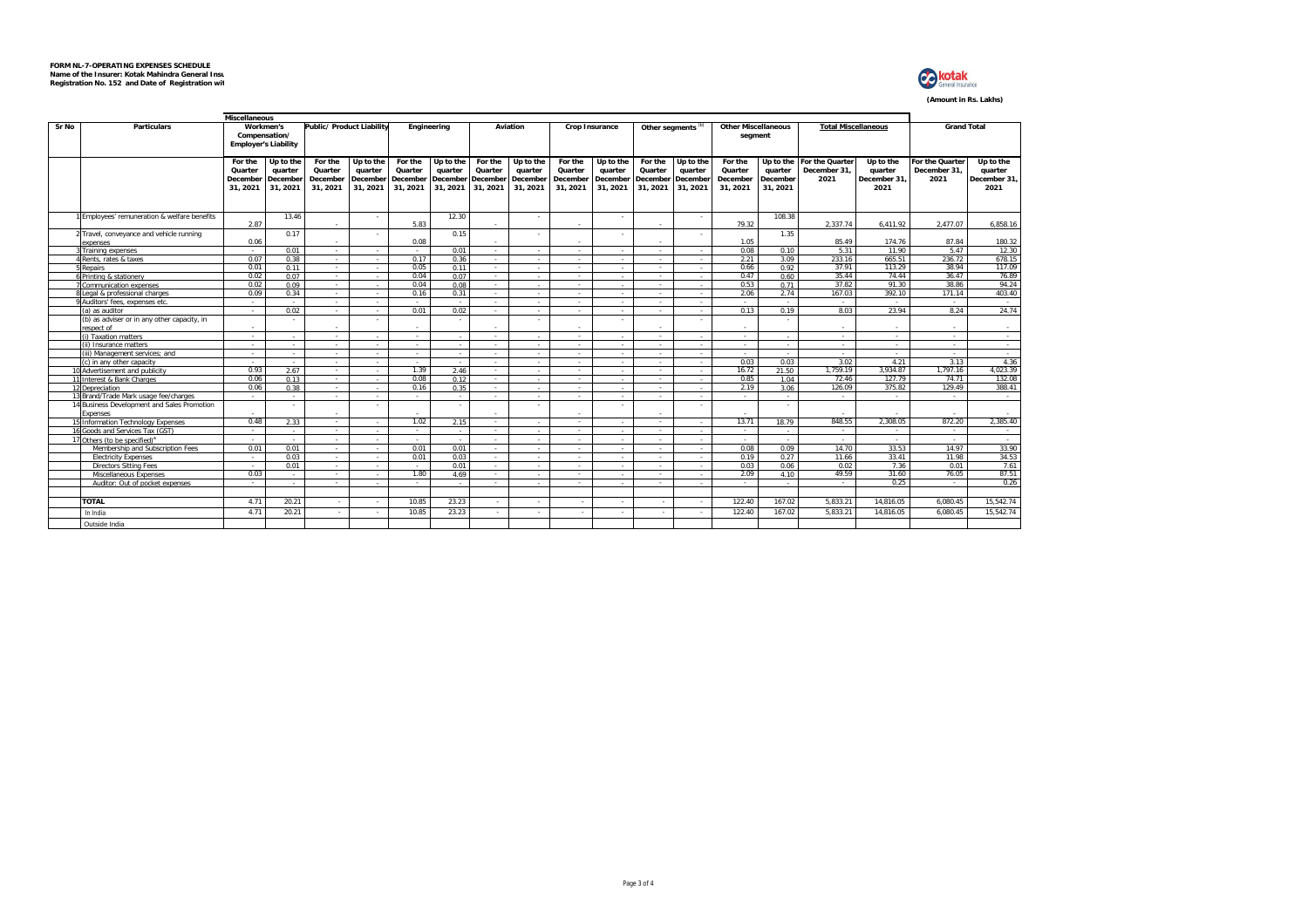

**(Amount in Rs. Lakhs)**

|       | Miscellaneous<br>Public/ Product Liability<br><b>Total Miscellaneous</b> |                     |                                                           |                     |                          |                      |                      |                      |                      |                      |                      |                               |                      |                                       |                     |                                           |                      |                                 |                      |  |
|-------|--------------------------------------------------------------------------|---------------------|-----------------------------------------------------------|---------------------|--------------------------|----------------------|----------------------|----------------------|----------------------|----------------------|----------------------|-------------------------------|----------------------|---------------------------------------|---------------------|-------------------------------------------|----------------------|---------------------------------|----------------------|--|
| Sr No | <b>Particulars</b>                                                       |                     | Workmen's<br>Compensation/<br><b>Employer's Liability</b> |                     |                          |                      | Engineering          |                      | Aviation             |                      | Crop Insurance       | Other segments <sup>(b)</sup> |                      | <b>Other Miscellaneous</b><br>segment |                     |                                           |                      | <b>Grand Total</b>              |                      |  |
|       |                                                                          | For the<br>Quarter  | Up to the<br>quarter                                      | For the<br>Quarter  | Up to the<br>quarter     | For the<br>Quarter   | Up to the<br>quarter | For the<br>Quarter   | Up to the<br>quarter | For the<br>Quarter   | Up to the<br>quarter | For the<br>Quarter            | Up to the<br>quarter | For the<br>Quarter                    | quarter             | Up to the For the Quarter<br>December 31. | Up to the<br>quarter | For the Quarter<br>December 31. | Up to the<br>quarter |  |
|       |                                                                          | December<br>31.2021 | December<br>31, 2021                                      | December<br>31.2021 | December<br>31.2021      | December<br>31, 2021 | December<br>31, 2021 | December<br>31, 2021 | December<br>31, 2021 | December<br>31, 2021 | December<br>31.2021  | December<br>31.2021           | December<br>31, 2021 | December<br>31, 2021                  | December<br>31.2021 | 2021                                      | December 31<br>2021  | 2021                            | December 31.<br>2021 |  |
|       | Employees' remuneration & welfare benefits                               |                     | 13.46                                                     |                     | $\overline{\phantom{a}}$ |                      | 12.30                |                      |                      |                      | $\mathbf{r}$         |                               | ٠.                   |                                       | 108.38              |                                           |                      |                                 |                      |  |
|       |                                                                          | 2.87                |                                                           |                     |                          | 5.83                 |                      |                      |                      |                      |                      |                               |                      | 79.32                                 |                     | 2.337.74                                  | 6.411.92             | 2.477.07                        | 6,858.16             |  |
|       | Travel, conveyance and vehicle running<br>expenses                       | 0.06                | 0.17                                                      | . .                 | ٠                        | 0.08                 | 0.15                 | $\sim$               |                      | $\mathbf{r}$         |                      | $\mathbf{r}$                  | ٠                    | 1.05                                  | 1.35                | 85.49                                     | 174.76               | 87.84                           | 180.32               |  |
|       | <b>Training expenses</b>                                                 | <b>1979</b>         | 0.01                                                      | $\sim$              |                          | . .                  | 0.01                 | $\mathbf{r}$         |                      |                      | $\mathbf{r}$         | $\sim$                        | $\sim$               | 0.08                                  | 0.10                | 5.31                                      | 11.90                | 5.47                            | 12.30                |  |
|       | <b>Rents, rates &amp; taxes</b>                                          | 0.07                | 0.38                                                      | $\sim$              | $\sim$                   | 0.17                 | 0.36                 | $\sim$               |                      | $\mathbf{r}$         | $\sim$               | $\sim$                        | $\sim$               | 2.21                                  | 3.09                | 233.16                                    | 665.51               | 236.72                          | 678.15               |  |
|       | Repairs                                                                  | 0.01                | 0.11                                                      | $\sim$              | $\mathbf{r}$             | 0.05                 | 0.11                 | $\sim$               |                      |                      |                      | $\sim$                        | ٠.                   | 0.66                                  | 0.92                | 37.91                                     | 113.29               | 38.94                           | 117.09               |  |
|       | <b>Printing &amp; stationery</b>                                         | 0.02                | 0.07                                                      | $\sim$              | $\mathbf{r}$             | 0.04                 | 0.07                 |                      |                      |                      | $\mathbf{r}$         | $\mathbf{r}$                  | $\sim$               | 0.47                                  | 0.60                | 35.44                                     | 74.44                | 36.47                           | 76.89                |  |
|       | Communication expenses                                                   | 0.02                | 0.09                                                      | $\sim$              | $\mathbf{r}$             | 0.04                 | 0.08                 | $\sim$               |                      |                      | $\sim$               | $\sim$                        | $\sim$               | 0.53                                  | 0.71                | 37.82                                     | 91.30                | 38.86                           | 94.24                |  |
|       | egal & professional charges                                              | 0.09                | 0.34                                                      | $\sim$              | i.                       | 0.16                 | 0.31                 | ÷                    |                      |                      | $\sim$               | $\mathbf{r}$                  | ۰.                   | 2.06                                  | 2.74                | 167.03                                    | 392.10               | 171.14                          | 403.40               |  |
|       | Auditors' fees, expenses etc.                                            | <b>1979</b>         |                                                           | $\sim$              |                          | ٠.                   |                      | $\sim$               |                      |                      | a.                   | $\mathbf{r}$                  | $\sim$               |                                       |                     | $\mathbf{r}$                              | $\sim$               |                                 | <b>1979</b>          |  |
|       | (a) as auditor                                                           |                     | 0.02                                                      | $\mathbf{r}$        | $\mathbf{r}$             | 0.01                 | 0.02                 | $\sim$               |                      |                      | $\sim$               |                               | $\sim$               | 0.13                                  | 0.19                | 8.03                                      | 23.94                | 8.24                            | 24.74                |  |
|       | (b) as adviser or in any other capacity, in<br>espect of                 |                     |                                                           |                     | ٠                        |                      |                      |                      |                      |                      |                      |                               | $\sim$               |                                       |                     |                                           |                      |                                 |                      |  |
|       | (i) Taxation matters                                                     | $\sim$              | ٠.                                                        | $\sim$              | $\sim$                   | $\sim$               |                      | $\sim$               | $\sim$               | $\sim$               | $\sim$               | $\sim$                        | $\sim$               | $\sim$                                | $\sim$              | $\sim$                                    | $\sim$               | $\sim$                          | <b>Service</b>       |  |
|       | (ii) Insurance matters                                                   | . .                 | и.                                                        | . .                 |                          | $\sim$               |                      | . .                  |                      | $\mathbf{r}$         | $\sim$               | <b>A</b>                      | $\sim$               | <b>1999</b>                           | <b>1979</b>         | $\sim$                                    | $\sim$               | . .                             | $\sim$               |  |
|       | iii) Management services: and                                            | . .                 | $\sim$                                                    | $\sim$              | $\sim$                   | $\sim$               | $\sim$               | $\sim$               | $\sim$               | . .                  | $\sim$               | $\sim$                        | $\sim$               | $\sim$                                | $\sim$              | $\sim$                                    | $\sim$               | $\sim$                          | <b>Service</b>       |  |
|       | (c) in any other capacity                                                | <b>1979</b>         |                                                           | $\sim$              |                          | $\sim$               |                      | $\sim$               |                      |                      | $\sim$               | <b>A</b>                      | $\sim$               | 0.03                                  | 0.03                | 3.02                                      | 4.21                 | 3.13                            | 4.36                 |  |
|       | 10 Advertisement and publicity                                           | 0.93                | 2.67                                                      | $\sim$              | $\sim$                   | 1.39                 | 2.46                 | $\sim$               |                      | $\mathbf{r}$         | $\sim$               | $\sim$                        | $\sim$               | 16.72                                 | 21.50               | 1.759.19                                  | 3.934.87             | 1.797.16                        | 4.023.39             |  |
|       | 11 Interest & Bank Charges                                               | 0.06                | 0.13                                                      | $\sim$              | $\sim$                   | 0.08                 | 0.12                 | $\sim$               |                      | $\sim$               | $\mathbf{r}$         | <b>A</b>                      | $\sim$               | 0.85                                  | 1.04                | 72.46                                     | 127.79               | 74.71                           | 132.08               |  |
|       | 12 Depreciation                                                          | 0.06                | 0.38                                                      | $\sim$              |                          | 0.16                 | 0.35                 | $\sim$               |                      |                      | $\sim$               | $\sim$                        | $\sim$               | 2.19                                  | 3.06                | 126.09                                    | 375.82               | 129.49                          | 388.41               |  |
|       | 13 Brand/Trade Mark usage fee/charges                                    |                     |                                                           | $\sim$              | $\sim$                   | ٠                    |                      |                      | ٠.                   | ٠                    | $\sim$               | $\sim$                        | $\sim$               |                                       | $\sim$              | $\sim$                                    | $\sim$               |                                 | $\sim$               |  |
|       | 14 Business Development and Sales Promotion<br>Expenses                  |                     |                                                           |                     | ٠                        |                      |                      |                      |                      |                      |                      |                               | ×.                   |                                       |                     |                                           |                      |                                 |                      |  |
|       | 5 Information Technology Expenses                                        | 0.48                | 2.33                                                      | $\sim$              | и.                       | 1.02                 | 2.15                 | $\sim$               |                      |                      | $\sim$               | <b>A</b>                      | $\sim$               | 13.71                                 | 18.79               | 848.55                                    | 2.308.05             | 872.20                          | 2.385.40             |  |
|       | 6 Goods and Services Tax (GST)                                           | . .                 | . .                                                       | <b>1979</b>         | $\mathbf{r}$             | . .                  | - 11                 | . .                  |                      | х.                   | . .                  | $\sim$                        | $\sim$               | . .                                   | . .                 | . .                                       | . .                  | . .                             |                      |  |
|       | Others (to be specified) <sup>a</sup>                                    | $\mathbf{r}$        | <b>COL</b>                                                | <b>1979</b>         | $\mathbf{r}$             |                      |                      | $\sim$               |                      |                      | $\sim$               |                               | $\sim$               |                                       | . .                 | $\sim$                                    | $\sim$               | $\sim$                          | $\sim$               |  |
|       | Membership and Subscription Fees                                         | 0.01                | 0.01                                                      | <b>A</b>            | $\sim$                   | 0.01                 | 0.01                 | $\sim$               |                      |                      | $\sim$               | $\sim$                        | $\sim$               | 0.08                                  | 0.09                | 14.70                                     | 33.53                | 14.97                           | 33.90                |  |
|       | <b>Electricity Expenses</b>                                              | <b>1979</b>         | 0.03                                                      | <b>1979</b>         | $\mathbf{r}$             | 0.01                 | 0.03                 | $\sim$               |                      |                      | $\mathbf{r}$         | $\mathbf{r}$                  | $\sim$               | 0.19                                  | 0.27                | 11.66                                     | 33.41                | 11.98                           | 34.53                |  |
|       | <b>Directors Sitting Fees</b>                                            | <b>1979</b>         | 0.01                                                      | $\sim$              | $\mathbf{r}$             | $\sim$               | 0.01                 | $\sim$               |                      |                      | $\sim$               | <b>110</b>                    | $\sim$               | 0.03                                  | 0.06                | 0.02                                      | 7.36                 | 0.01                            | 7.61                 |  |
|       | Miscellaneous Expenses                                                   | 0.03                |                                                           | $\sim$              |                          | 1.80                 | 4.69                 | $\sim$               |                      |                      |                      | $\sim$                        | $\sim$               | 2.09                                  | 4.10                | 49.59                                     | 31.60                | 76.05                           | 87.51                |  |
|       | Auditor: Out of pocket expenses                                          |                     |                                                           | $\sim$              |                          |                      |                      |                      |                      |                      |                      |                               | $\sim$               |                                       |                     |                                           | 0.25                 |                                 | 0.26                 |  |
|       | <b>TOTAL</b>                                                             | 4.71                | 20.21                                                     |                     |                          | 10.85                | 23.23                |                      |                      |                      |                      |                               |                      | 122.40                                | 167.02              | 5,833.21                                  | 14,816.05            | 6.080.45                        | 15,542.74            |  |
|       |                                                                          |                     |                                                           |                     |                          |                      |                      |                      |                      |                      |                      |                               | $\sim$               |                                       |                     |                                           |                      |                                 |                      |  |
|       | In India                                                                 | 4.71                | 20.21                                                     |                     |                          | 10.85                | 23.23                |                      |                      |                      | <b>1979</b>          |                               |                      | 122.40                                | 167.02              | 5.833.21                                  | 14,816.05            | 6.080.45                        | 15.542.74            |  |
|       | Outside India                                                            |                     |                                                           |                     |                          |                      |                      |                      |                      |                      |                      |                               |                      |                                       |                     |                                           |                      |                                 |                      |  |